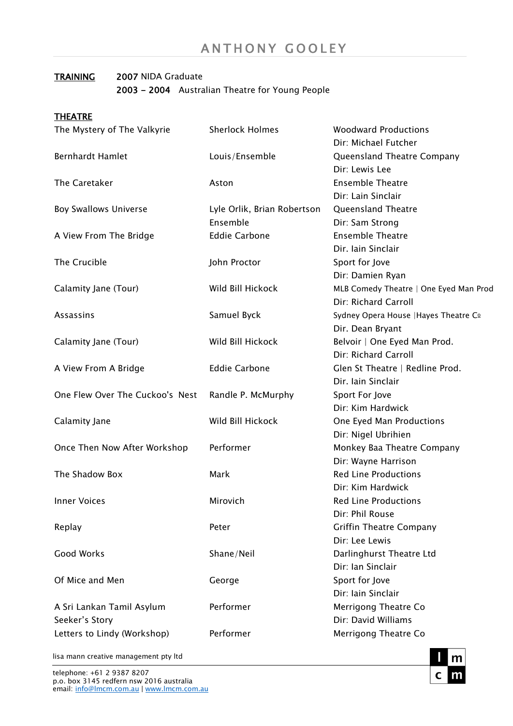#### TRAINING 2007 NIDA Graduate 2003 - 2004 Australian Theatre for Young People

| <b>THEATRE</b>                  |                             |                                        |
|---------------------------------|-----------------------------|----------------------------------------|
| The Mystery of The Valkyrie     | <b>Sherlock Holmes</b>      | <b>Woodward Productions</b>            |
|                                 |                             | Dir: Michael Futcher                   |
| <b>Bernhardt Hamlet</b>         | Louis/Ensemble              | Queensland Theatre Company             |
|                                 |                             | Dir: Lewis Lee                         |
| The Caretaker                   | Aston                       | <b>Ensemble Theatre</b>                |
|                                 |                             | Dir: Lain Sinclair                     |
| <b>Boy Swallows Universe</b>    | Lyle Orlik, Brian Robertson | Queensland Theatre                     |
|                                 | Ensemble                    | Dir: Sam Strong                        |
| A View From The Bridge          | <b>Eddie Carbone</b>        | <b>Ensemble Theatre</b>                |
|                                 |                             | Dir. Iain Sinclair                     |
| The Crucible                    | John Proctor                | Sport for Jove                         |
|                                 |                             | Dir: Damien Ryan                       |
| Calamity Jane (Tour)            | Wild Bill Hickock           | MLB Comedy Theatre   One Eyed Man Prod |
|                                 |                             | Dir: Richard Carroll                   |
| Assassins                       | Samuel Byck                 | Sydney Opera House   Hayes Theatre Co  |
|                                 |                             | Dir. Dean Bryant                       |
| Calamity Jane (Tour)            | Wild Bill Hickock           | Belvoir   One Eyed Man Prod.           |
|                                 |                             | Dir: Richard Carroll                   |
| A View From A Bridge            | <b>Eddie Carbone</b>        | Glen St Theatre   Redline Prod.        |
|                                 |                             | Dir. Iain Sinclair                     |
| One Flew Over The Cuckoo's Nest | Randle P. McMurphy          | Sport For Jove                         |
|                                 |                             | Dir: Kim Hardwick                      |
| Calamity Jane                   | Wild Bill Hickock           | One Eyed Man Productions               |
|                                 |                             | Dir: Nigel Ubrihien                    |
| Once Then Now After Workshop    | Performer                   | Monkey Baa Theatre Company             |
|                                 |                             | Dir: Wayne Harrison                    |
| The Shadow Box                  | Mark                        | <b>Red Line Productions</b>            |
|                                 |                             | Dir: Kim Hardwick                      |
| <b>Inner Voices</b>             | Mirovich                    | <b>Red Line Productions</b>            |
|                                 |                             | Dir: Phil Rouse                        |
| Replay                          | Peter                       | <b>Griffin Theatre Company</b>         |
|                                 |                             | Dir: Lee Lewis                         |
| <b>Good Works</b>               | Shane/Neil                  | Darlinghurst Theatre Ltd               |
|                                 |                             | Dir: Ian Sinclair                      |
| Of Mice and Men                 | George                      | Sport for Jove                         |
|                                 |                             | Dir: Iain Sinclair                     |
| A Sri Lankan Tamil Asylum       | Performer                   | Merrigong Theatre Co                   |
| Seeker's Story                  |                             | Dir: David Williams                    |
| Letters to Lindy (Workshop)     | Performer                   | Merrigong Theatre Co                   |
|                                 |                             |                                        |

lisa mann creative management pty ltd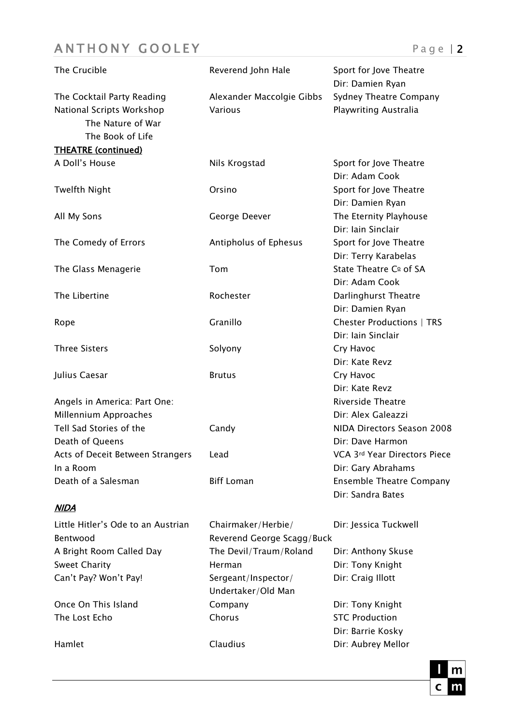# ANTHONY GOOLEY Page | 2

| The Crucible                                                                                     | Reverend John Hale                               | Sport for Jove Theatre<br>Dir: Damien Ryan             |
|--------------------------------------------------------------------------------------------------|--------------------------------------------------|--------------------------------------------------------|
| The Cocktail Party Reading<br>National Scripts Workshop<br>The Nature of War<br>The Book of Life | Alexander Maccolgie Gibbs<br>Various             | Sydney Theatre Company<br>Playwriting Australia        |
| <b>THEATRE (continued)</b>                                                                       |                                                  |                                                        |
| A Doll's House                                                                                   | Nils Krogstad                                    | Sport for Jove Theatre<br>Dir: Adam Cook               |
| <b>Twelfth Night</b>                                                                             | Orsino                                           | Sport for Jove Theatre<br>Dir: Damien Ryan             |
| All My Sons                                                                                      | George Deever                                    | The Eternity Playhouse<br>Dir: Iain Sinclair           |
| The Comedy of Errors                                                                             | Antipholus of Ephesus                            | Sport for Jove Theatre<br>Dir: Terry Karabelas         |
| The Glass Menagerie                                                                              | Tom                                              | State Theatre Co of SA<br>Dir: Adam Cook               |
| The Libertine                                                                                    | Rochester                                        | Darlinghurst Theatre<br>Dir: Damien Ryan               |
| Rope                                                                                             | Granillo                                         | <b>Chester Productions   TRS</b><br>Dir: Iain Sinclair |
| <b>Three Sisters</b>                                                                             | Solyony                                          | Cry Havoc<br>Dir: Kate Revz                            |
| Julius Caesar                                                                                    | <b>Brutus</b>                                    | Cry Havoc<br>Dir: Kate Revz                            |
| Angels in America: Part One:                                                                     |                                                  | <b>Riverside Theatre</b><br>Dir: Alex Galeazzi         |
| Millennium Approaches<br>Tell Sad Stories of the                                                 | Candy                                            | NIDA Directors Season 2008                             |
| Death of Queens<br>Acts of Deceit Between Strangers                                              | Lead                                             | Dir: Dave Harmon<br>VCA 3rd Year Directors Piece       |
| In a Room<br>Death of a Salesman                                                                 | <b>Biff Loman</b>                                | Dir: Gary Abrahams<br><b>Ensemble Theatre Company</b>  |
| <b>NIDA</b>                                                                                      |                                                  | Dir: Sandra Bates                                      |
| Little Hitler's Ode to an Austrian<br>Bentwood                                                   | Chairmaker/Herbie/<br>Reverend George Scagg/Buck | Dir: Jessica Tuckwell                                  |
| A Bright Room Called Day                                                                         | The Devil/Traum/Roland                           | Dir: Anthony Skuse                                     |
| <b>Sweet Charity</b>                                                                             | Herman                                           | Dir: Tony Knight                                       |
| Can't Pay? Won't Pay!                                                                            | Sergeant/Inspector/<br>Undertaker/Old Man        | Dir: Craig Illott                                      |
| Once On This Island                                                                              | Company                                          | Dir: Tony Knight                                       |
| The Lost Echo                                                                                    | Chorus                                           | <b>STC Production</b>                                  |
|                                                                                                  |                                                  | Dir: Barrie Kosky                                      |
| Hamlet                                                                                           | Claudius                                         | Dir: Aubrey Mellor                                     |

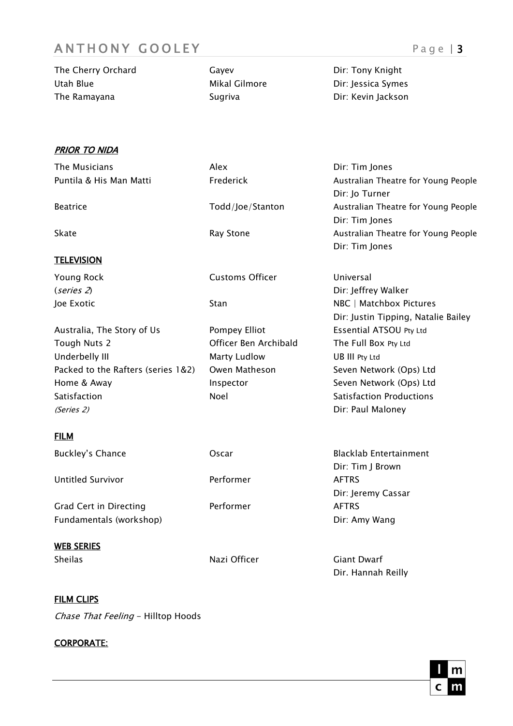## ANTHONY GOOLEY Page | 3

| The Cherry Orchard | Gavev         | Dir: Tony Knight   |
|--------------------|---------------|--------------------|
| Utah Blue          | Mikal Gilmore | Dir: Jessica Symes |
| The Ramayana       | Sugriva       | Dir: Kevin Jackson |

**PRIOR TO NIDA** 

| The Musicians                      | Alex                   | Dir: Tim Jones                      |
|------------------------------------|------------------------|-------------------------------------|
| Puntila & His Man Matti            | Frederick              | Australian Theatre for Young People |
|                                    |                        | Dir: Jo Turner                      |
| <b>Beatrice</b>                    | Todd/Joe/Stanton       | Australian Theatre for Young People |
|                                    |                        | Dir: Tim Jones                      |
| Skate                              | Ray Stone              | Australian Theatre for Young People |
|                                    |                        | Dir: Tim Jones                      |
| <b>TELEVISION</b>                  |                        |                                     |
| <b>Young Rock</b>                  | <b>Customs Officer</b> | Universal                           |
| (series 2)                         |                        | Dir: Jeffrey Walker                 |
| Joe Exotic                         | Stan                   | NBC   Matchbox Pictures             |
|                                    |                        | Dir: Justin Tipping, Natalie Bailey |
| Australia, The Story of Us         | Pompey Elliot          | Essential ATSOU Pty Ltd             |
| Tough Nuts 2                       | Officer Ben Archibald  | The Full Box Pty Ltd                |
| Underbelly III                     | <b>Marty Ludlow</b>    | UB III Pty Ltd                      |
| Packed to the Rafters (series 1&2) | Owen Matheson          | Seven Network (Ops) Ltd             |
| Home & Away                        | Inspector              | Seven Network (Ops) Ltd             |
| Satisfaction                       | Noel                   | <b>Satisfaction Productions</b>     |
| (Series 2)                         |                        | Dir: Paul Maloney                   |
| <b>FILM</b>                        |                        |                                     |
| <b>Buckley's Chance</b>            | Oscar                  | <b>Blacklab Entertainment</b>       |
|                                    |                        | Dir: Tim J Brown                    |
| <b>Untitled Survivor</b>           | Performer              | <b>AFTRS</b>                        |
|                                    |                        | Dir: Jeremy Cassar                  |
| <b>Grad Cert in Directing</b>      | Performer              | <b>AFTRS</b>                        |
| Fundamentals (workshop)            |                        | Dir: Amy Wang                       |
| <b>WEB SERIES</b>                  |                        |                                     |
| <b>Sheilas</b>                     | Nazi Officer           | <b>Giant Dwarf</b>                  |
|                                    |                        | Dir. Hannah Reilly                  |

#### **FILM CLIPS**

Chase That Feeling - Hilltop Hoods

#### CORPORATE: